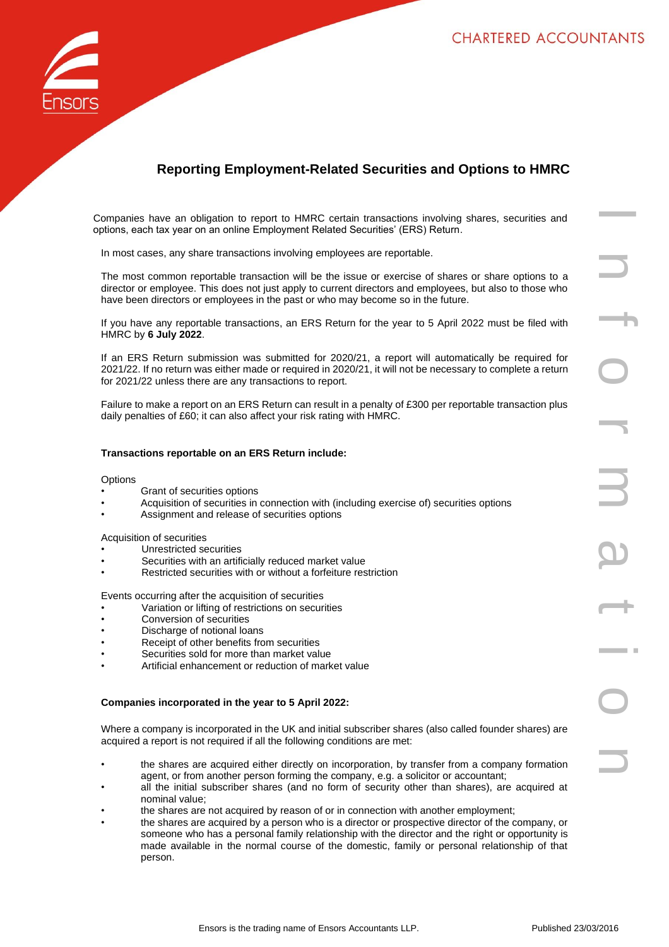

# **Reporting Employment-Related Securities and Options to HMRC**

Companies have an obligation to report to HMRC certain transactions involving shares, securities and options, each tax year on an online Employment Related Securities' (ERS) Return.

In most cases, any share transactions involving employees are reportable.

The most common reportable transaction will be the issue or exercise of shares or share options to a director or employee. This does not just apply to current directors and employees, but also to those who have been directors or employees in the past or who may become so in the future.

If you have any reportable transactions, an ERS Return for the year to 5 April 2022 must be filed with HMRC by **6 July 2022**.

If an ERS Return submission was submitted for 2020/21, a report will automatically be required for 2021/22. If no return was either made or required in 2020/21, it will not be necessary to complete a return for 2021/22 unless there are any transactions to report.

Failure to make a report on an ERS Return can result in a penalty of £300 per reportable transaction plus daily penalties of £60; it can also affect your risk rating with HMRC.

# **Transactions reportable on an ERS Return include:**

#### **Options**

- Grant of securities options
- Acquisition of securities in connection with (including exercise of) securities options
- Assignment and release of securities options

Acquisition of securities

- Unrestricted securities
- Securities with an artificially reduced market value
- Restricted securities with or without a forfeiture restriction

Events occurring after the acquisition of securities

- Variation or lifting of restrictions on securities
- Conversion of securities
- Discharge of notional loans
- Receipt of other benefits from securities
- Securities sold for more than market value
- Artificial enhancement or reduction of market value

#### **Companies incorporated in the year to 5 April 2022:**

Where a company is incorporated in the UK and initial subscriber shares (also called founder shares) are acquired a report is not required if all the following conditions are met:

- the shares are acquired either directly on incorporation, by transfer from a company formation agent, or from another person forming the company, e.g. a solicitor or accountant;
- all the initial subscriber shares (and no form of security other than shares), are acquired at nominal value;
- the shares are not acquired by reason of or in connection with another employment;
- the shares are acquired by a person who is a director or prospective director of the company, or someone who has a personal family relationship with the director and the right or opportunity is made available in the normal course of the domestic, family or personal relationship of that person.